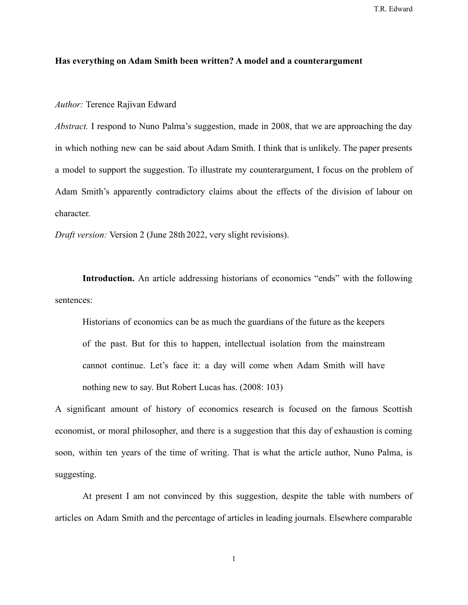## **Has everything on Adam Smith been written? A model and a counterargument**

*Author:* Terence Rajivan Edward

*Abstract.* I respond to Nuno Palma's suggestion, made in 2008, that we are approaching the day in which nothing new can be said about Adam Smith. I think that is unlikely. The paper presents a model to support the suggestion. To illustrate my counterargument, I focus on the problem of Adam Smith's apparently contradictory claims about the effects of the division of labour on character.

*Draft version:* Version 2 (June 28th 2022, very slight revisions).

**Introduction.** An article addressing historians of economics "ends" with the following sentences:

Historians of economics can be as much the guardians of the future as the keepers of the past. But for this to happen, intellectual isolation from the mainstream cannot continue. Let's face it: a day will come when Adam Smith will have nothing new to say. But Robert Lucas has. (2008: 103)

A significant amount of history of economics research is focused on the famous Scottish economist, or moral philosopher, and there is a suggestion that this day of exhaustion is coming soon, within ten years of the time of writing. That is what the article author, Nuno Palma, is suggesting.

At present I am not convinced by this suggestion, despite the table with numbers of articles on Adam Smith and the percentage of articles in leading journals. Elsewhere comparable

1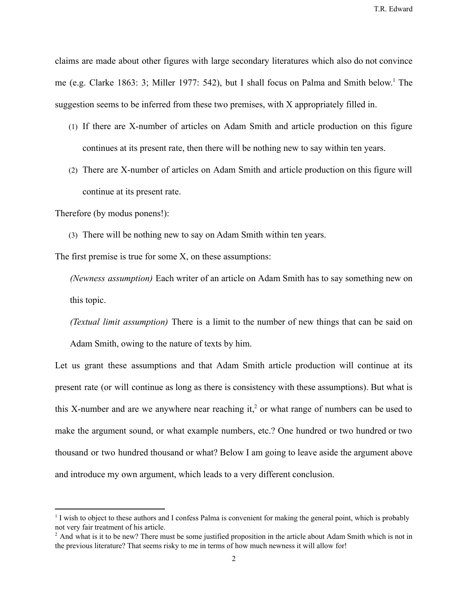claims are made about other figures with large secondary literatures which also do not convince me (e.g. Clarke 1863: 3; Miller 1977: 542), but I shall focus on Palma and Smith below.<sup>1</sup> The suggestion seems to be inferred from these two premises, with X appropriately filled in.

- (1) If there are X-number of articles on Adam Smith and article production on this figure continues at its present rate, then there will be nothing new to say within ten years.
- (2) There are X-number of articles on Adam Smith and article production on this figure will continue at its present rate.

Therefore (by modus ponens!):

(3) There will be nothing new to say on Adam Smith within ten years.

The first premise is true for some X, on these assumptions:

*(Newness assumption)* Each writer of an article on Adam Smith has to say something new on this topic.

*(Textual limit assumption)* There is a limit to the number of new things that can be said on Adam Smith, owing to the nature of texts by him.

Let us grant these assumptions and that Adam Smith article production will continue at its present rate (or will continue as long as there is consistency with these assumptions). But what is this X-number and are we anywhere near reaching it,<sup>2</sup> or what range of numbers can be used to make the argument sound, or what example numbers, etc.? One hundred or two hundred or two thousand or two hundred thousand or what? Below I am going to leave aside the argument above and introduce my own argument, which leads to a very different conclusion.

<sup>&</sup>lt;sup>1</sup> I wish to object to these authors and I confess Palma is convenient for making the general point, which is probably not very fair treatment of his article.

 $<sup>2</sup>$  And what is it to be new? There must be some justified proposition in the article about Adam Smith which is not in</sup> the previous literature? That seems risky to me in terms of how much newness it will allow for!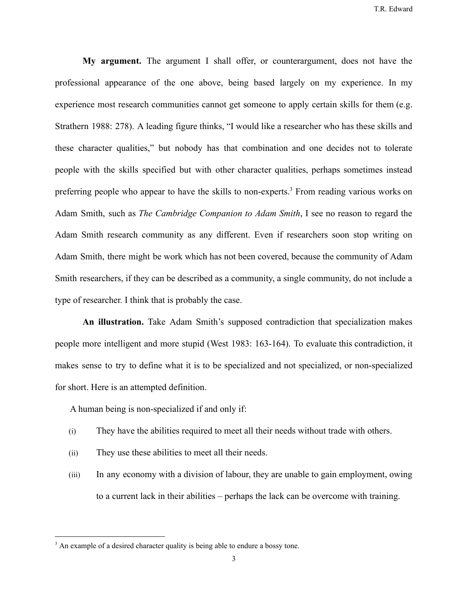**My argument.** The argument I shall offer, or counterargument, does not have the professional appearance of the one above, being based largely on my experience. In my experience most research communities cannot get someone to apply certain skills for them (e.g. Strathern 1988: 278). A leading figure thinks, "I would like a researcher who has these skills and these character qualities," but nobody has that combination and one decides not to tolerate people with the skills specified but with other character qualities, perhaps sometimes instead preferring people who appear to have the skills to non-experts.<sup>3</sup> From reading various works on Adam Smith, such as *The Cambridge Companion to Adam Smith*, I see no reason to regard the Adam Smith research community as any different. Even if researchers soon stop writing on Adam Smith, there might be work which has not been covered, because the community of Adam Smith researchers, if they can be described as a community, a single community, do not include a type of researcher. I think that is probably the case.

**An illustration.** Take Adam Smith's supposed contradiction that specialization makes people more intelligent and more stupid (West 1983: 163-164). To evaluate this contradiction, it makes sense to try to define what it is to be specialized and not specialized, or non-specialized for short. Here is an attempted definition.

A human being is non-specialized if and only if:

- (i) They have the abilities required to meet all their needs without trade with others.
- (ii) They use these abilities to meet all their needs.
- (iii) In any economy with a division of labour, they are unable to gain employment, owing to a current lack in their abilities – perhaps the lack can be overcome with training.

<sup>&</sup>lt;sup>3</sup> An example of a desired character quality is being able to endure a bossy tone.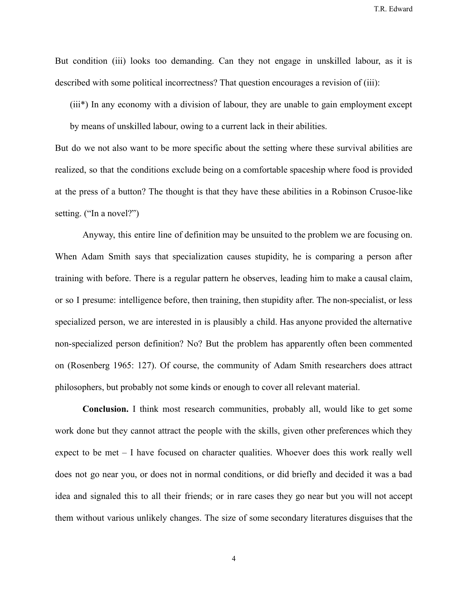But condition (iii) looks too demanding. Can they not engage in unskilled labour, as it is described with some political incorrectness? That question encourages a revision of (iii):

(iii\*) In any economy with a division of labour, they are unable to gain employment except

by means of unskilled labour, owing to a current lack in their abilities.

But do we not also want to be more specific about the setting where these survival abilities are realized, so that the conditions exclude being on a comfortable spaceship where food is provided at the press of a button? The thought is that they have these abilities in a Robinson Crusoe-like setting. ("In a novel?")

Anyway, this entire line of definition may be unsuited to the problem we are focusing on. When Adam Smith says that specialization causes stupidity, he is comparing a person after training with before. There is a regular pattern he observes, leading him to make a causal claim, or so I presume: intelligence before, then training, then stupidity after. The non-specialist, or less specialized person, we are interested in is plausibly a child. Has anyone provided the alternative non-specialized person definition? No? But the problem has apparently often been commented on (Rosenberg 1965: 127). Of course, the community of Adam Smith researchers does attract philosophers, but probably not some kinds or enough to cover all relevant material.

**Conclusion.** I think most research communities, probably all, would like to get some work done but they cannot attract the people with the skills, given other preferences which they expect to be met – I have focused on character qualities. Whoever does this work really well does not go near you, or does not in normal conditions, or did briefly and decided it was a bad idea and signaled this to all their friends; or in rare cases they go near but you will not accept them without various unlikely changes. The size of some secondary literatures disguises that the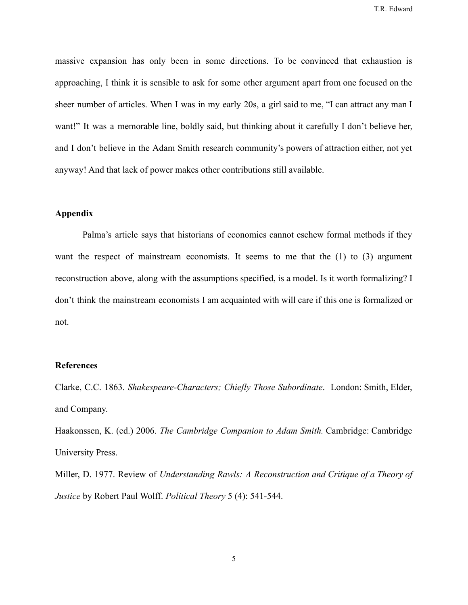massive expansion has only been in some directions. To be convinced that exhaustion is approaching, I think it is sensible to ask for some other argument apart from one focused on the sheer number of articles. When I was in my early 20s, a girl said to me, "I can attract any man I want!" It was a memorable line, boldly said, but thinking about it carefully I don't believe her, and I don't believe in the Adam Smith research community's powers of attraction either, not yet anyway! And that lack of power makes other contributions still available.

## **Appendix**

Palma's article says that historians of economics cannot eschew formal methods if they want the respect of mainstream economists. It seems to me that the (1) to (3) argument reconstruction above, along with the assumptions specified, is a model. Is it worth formalizing? I don't think the mainstream economists I am acquainted with will care if this one is formalized or not.

## **References**

Clarke, C.C. 1863. *Shakespeare-Characters; Chiefly Those Subordinate*. London: Smith, Elder, and Company.

Haakonssen, K. (ed.) 2006. *The Cambridge Companion to Adam Smith.* Cambridge: Cambridge University Press.

Miller, D. 1977. Review of *Understanding Rawls: A Reconstruction and Critique of a Theory of Justice* by Robert Paul Wolff. *Political Theory* 5 (4): 541-544.

5